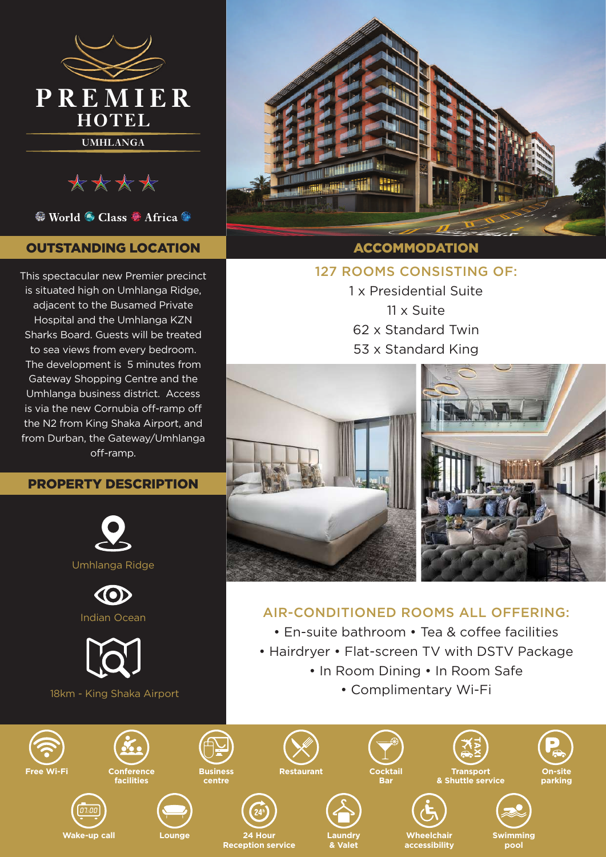

\*\*\*\*

<sup>●</sup> World ● Class ● Africa ●

# OUTSTANDING LOCATION

This spectacular new Premier precinct is situated high on Umhlanga Ridge, adjacent to the Busamed Private Hospital and the Umhlanga KZN Sharks Board. Guests will be treated to sea views from every bedroom. The development is 5 minutes from Gateway Shopping Centre and the Umhlanga business district. Access is via the new Cornubia off-ramp off the N2 from King Shaka Airport, and from Durban, the Gateway/Umhlanga off-ramp.

### PROPERTY DESCRIPTION





## ACCOMMODATION

#### 127 ROOMS CONSISTING OF:

1 x Presidential Suite 11 x Suite 62 x Standard Twin 53 x Standard King



**On-site parking**

**pool**

## AIR-CONDITIONED ROOMS ALL OFFERING:

- En-suite bathroom Tea & coffee facilities
- Hairdryer Flat-screen TV with DSTV Package
	- In Room Dining In Room Safe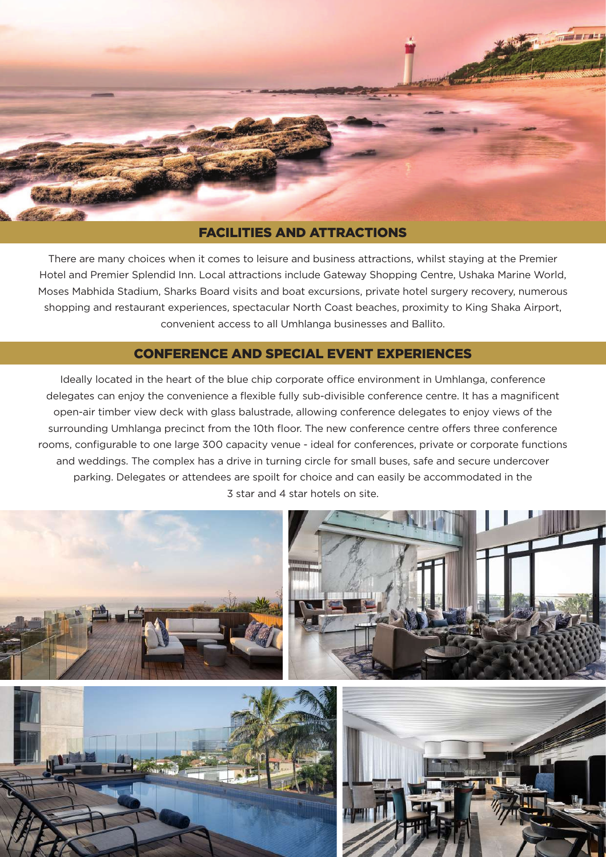

There are many choices when it comes to leisure and business attractions, whilst staying at the Premier Hotel and Premier Splendid Inn. Local attractions include Gateway Shopping Centre, Ushaka Marine World, Moses Mabhida Stadium, Sharks Board visits and boat excursions, private hotel surgery recovery, numerous shopping and restaurant experiences, spectacular North Coast beaches, proximity to King Shaka Airport, convenient access to all Umhlanga businesses and Ballito.

### CONFERENCE AND SPECIAL EVENT EXPERIENCES

Ideally located in the heart of the blue chip corporate office environment in Umhlanga, conference delegates can enjoy the convenience a flexible fully sub-divisible conference centre. It has a magnificent open-air timber view deck with glass balustrade, allowing conference delegates to enjoy views of the surrounding Umhlanga precinct from the 10th floor. The new conference centre offers three conference rooms, configurable to one large 300 capacity venue - ideal for conferences, private or corporate functions and weddings. The complex has a drive in turning circle for small buses, safe and secure undercover parking. Delegates or attendees are spoilt for choice and can easily be accommodated in the 3 star and 4 star hotels on site.